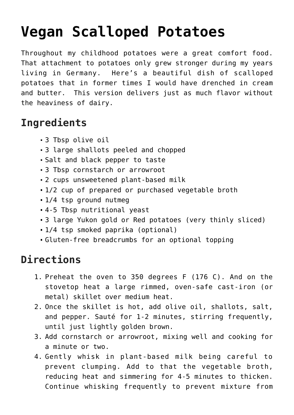## **[Vegan Scalloped Potatoes](https://laurenhubele.com/vegan-scalloped-potatoes/)**

Throughout my childhood potatoes were a great comfort food. That attachment to potatoes only grew stronger during my years living in Germany. Here's a beautiful dish of scalloped potatoes that in former times I would have drenched in cream and butter. This version delivers just as much flavor without the heaviness of dairy.

## **Ingredients**

- 3 Tbsp olive oil
- 3 large shallots peeled and chopped
- Salt and black pepper to taste
- 3 Tbsp cornstarch or arrowroot
- 2 cups unsweetened plant-based milk
- 1/2 cup of prepared or purchased vegetable broth
- 1/4 tsp ground nutmeg
- 4-5 Tbsp nutritional yeast
- 3 large Yukon gold or Red potatoes (very thinly sliced)
- 1/4 tsp smoked paprika (optional)
- Gluten-free breadcrumbs for an optional topping

## **Directions**

- 1. Preheat the oven to 350 degrees F (176 C). And on the stovetop heat a large rimmed, oven-safe cast-iron (or metal) skillet over medium heat.
- 2. Once the skillet is hot, add olive oil, shallots, salt, and pepper. Sauté for 1-2 minutes, stirring frequently, until just lightly golden brown.
- 3. Add cornstarch or arrowroot, mixing well and cooking for a minute or two.
- 4. Gently whisk in plant-based milk being careful to prevent clumping. Add to that the vegetable broth, reducing heat and simmering for 4-5 minutes to thicken. Continue whisking frequently to prevent mixture from